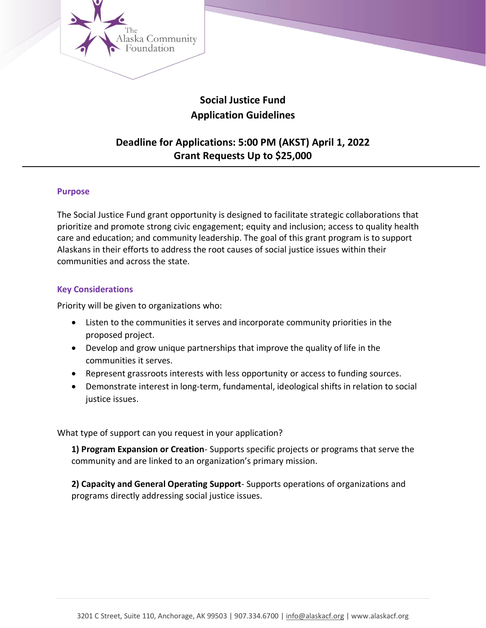

# **Social Justice Fund Application Guidelines**

# **Deadline for Applications: 5:00 PM (AKST) April 1, 2022 Grant Requests Up to \$25,000**

## **Purpose**

The Social Justice Fund grant opportunity is designed to facilitate strategic collaborations that prioritize and promote strong civic engagement; equity and inclusion; access to quality health care and education; and community leadership. The goal of this grant program is to support Alaskans in their efforts to address the root causes of social justice issues within their communities and across the state.

#### **Key Considerations**

Priority will be given to organizations who:

- Listen to the communities it serves and incorporate community priorities in the proposed project.
- Develop and grow unique partnerships that improve the quality of life in the communities it serves.
- Represent grassroots interests with less opportunity or access to funding sources.
- Demonstrate interest in long-term, fundamental, ideological shifts in relation to social justice issues.

What type of support can you request in your application?

**1) Program Expansion or Creation**- Supports specific projects or programs that serve the community and are linked to an organization's primary mission.

**2) Capacity and General Operating Support**- Supports operations of organizations and programs directly addressing social justice issues.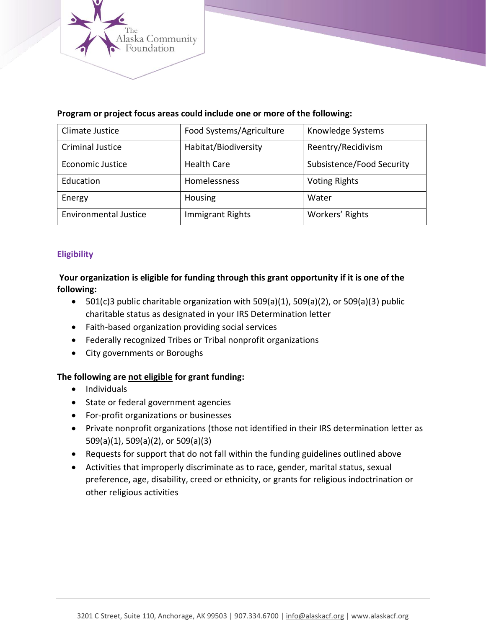

| Climate Justice              | Food Systems/Agriculture | Knowledge Systems         |
|------------------------------|--------------------------|---------------------------|
| <b>Criminal Justice</b>      | Habitat/Biodiversity     | Reentry/Recidivism        |
| <b>Economic Justice</b>      | <b>Health Care</b>       | Subsistence/Food Security |
| Education                    | Homelessness             | <b>Voting Rights</b>      |
| Energy                       | Housing                  | Water                     |
| <b>Environmental Justice</b> | <b>Immigrant Rights</b>  | Workers' Rights           |

## **Program or project focus areas could include one or more of the following:**

## **Eligibility**

**Your organization is eligible for funding through this grant opportunity if it is one of the following:**

- 501(c)3 public charitable organization with 509(a)(1), 509(a)(2), or 509(a)(3) public charitable status as designated in your IRS Determination letter
- Faith-based organization providing social services
- Federally recognized Tribes or Tribal nonprofit organizations
- City governments or Boroughs

# **The following are not eligible for grant funding:**

- Individuals
- State or federal government agencies
- For-profit organizations or businesses
- Private nonprofit organizations (those not identified in their IRS determination letter as 509(a)(1), 509(a)(2), or 509(a)(3)
- Requests for support that do not fall within the funding guidelines outlined above
- Activities that improperly discriminate as to race, gender, marital status, sexual preference, age, disability, creed or ethnicity, or grants for religious indoctrination or other religious activities